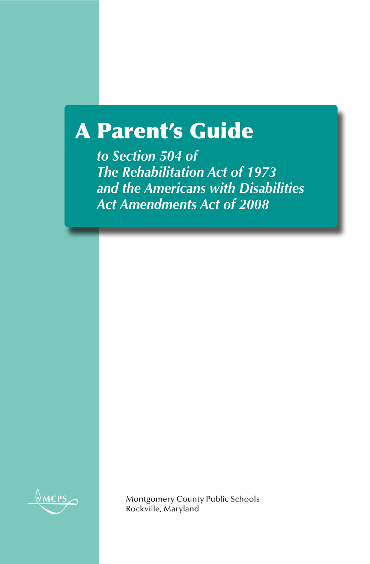# A Parent's Guide

*to Section 504 of The Rehabilitation Act of 1973 and the Americans with Disabilities Act Amendments Act of 2008*



Montgomery County Public Schools Rockville, Maryland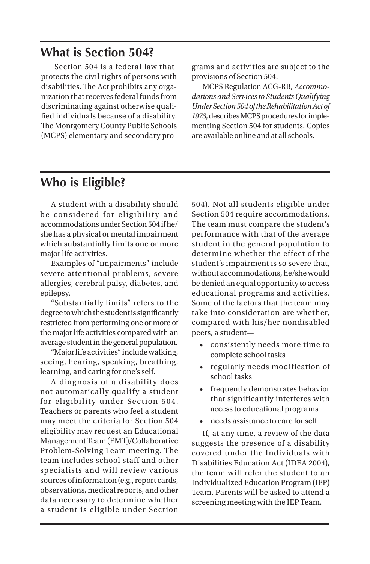### **What is Section 504?**

Section 504 is a federal law that protects the civil rights of persons with disabilities. The Act prohibits any organization that receives federal funds from discriminating against otherwise qualified individuals because of a disability. The Montgomery County Public Schools (MCPS) elementary and secondary programs and activities are subject to the provisions of Section 504.

MCPS Regulation ACG-RB, *Accommodations and Services to Students Qualifying Under Section 504 of the Rehabilitation Act of 1973*, describes MCPS procedures for implementing Section 504 for students. Copies are available online and at all schools.

#### **Who is Eligible?**

A student with a disability should be considered for eligibility and accommodations under Section 504 if he/ she has a physical or mental impairment which substantially limits one or more major life activities.

Examples of "impairments" include severe attentional problems, severe allergies, cerebral palsy, diabetes, and epilepsy.

"Substantially limits" refers to the degree to which the student is significantly restricted from performing one or more of the major life activities compared with an average student in the general population.

"Major life activities" include walking, seeing, hearing, speaking, breathing, learning, and caring for one's self.

A diagnosis of a disability does not automatically qualify a student for eligibility under Section 504. Teachers or parents who feel a student may meet the criteria for Section 504 eligibility may request an Educational Management Team (EMT)/Collaborative Problem-Solving Team meeting. The team includes school staff and other specialists and will review various sources of information (e.g., report cards, observations, medical reports, and other data necessary to determine whether a student is eligible under Section

504). Not all students eligible under Section 504 require accommodations. The team must compare the student's performance with that of the average student in the general population to determine whether the effect of the student's impairment is so severe that, without accommodations, he/she would be denied an equal opportunity to access educational programs and activities. Some of the factors that the team may take into consideration are whether, compared with his/her nondisabled peers, a student—

- consistently needs more time to complete school tasks
- regularly needs modification of school tasks
- frequently demonstrates behavior that significantly interferes with access to educational programs
- needs assistance to care for self

If, at any time, a review of the data suggests the presence of a disability covered under the Individuals with Disabilities Education Act (IDEA 2004), the team will refer the student to an Individualized Education Program (IEP) Team. Parents will be asked to attend a screening meeting with the IEP Team.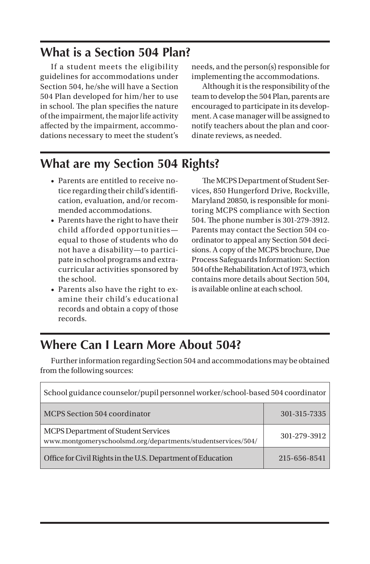#### **What is a Section 504 Plan?**

If a student meets the eligibility guidelines for accommodations under Section 504, he/she will have a Section 504 Plan developed for him/her to use in school. The plan specifies the nature of the impairment, the major life activity affected by the impairment, accommodations necessary to meet the student's

needs, and the person(s) responsible for implementing the accommodations.

Although it is the responsibility of the team to develop the 504 Plan, parents are encouraged to participate in its development. A case manager will be assigned to notify teachers about the plan and coordinate reviews, as needed.

## **What are my Section 504 Rights?**

- Parents are entitled to receive notice regarding their child's identification, evaluation, and/or recommended accommodations.
- Parents have the right to have their child afforded opportunities equal to those of students who do not have a disability—to participate in school programs and extracurricular activities sponsored by the school.
- Parents also have the right to examine their child's educational records and obtain a copy of those records.

The MCPS Department of Student Services, 850 Hungerford Drive, Rockville, Maryland 20850, is responsible for monitoring MCPS compliance with Section 504. The phone number is 301-279-3912. Parents may contact the Section 504 coordinator to appeal any Section 504 decisions. A copy of the MCPS brochure, Due Process Safeguards Information: Section 504 of the Rehabilitation Act of 1973, which contains more details about Section 504, is available online at each school.

### **Where Can I Learn More About 504?**

Further information regarding Section 504 and accommodations may be obtained from the following sources:

| School guidance counselor/pupil personnel worker/school-based 504 coordinator                       |              |
|-----------------------------------------------------------------------------------------------------|--------------|
| MCPS Section 504 coordinator                                                                        | 301-315-7335 |
| MCPS Department of Student Services<br>www.montgomeryschoolsmd.org/departments/studentservices/504/ | 301-279-3912 |
| Office for Civil Rights in the U.S. Department of Education                                         | 215-656-8541 |